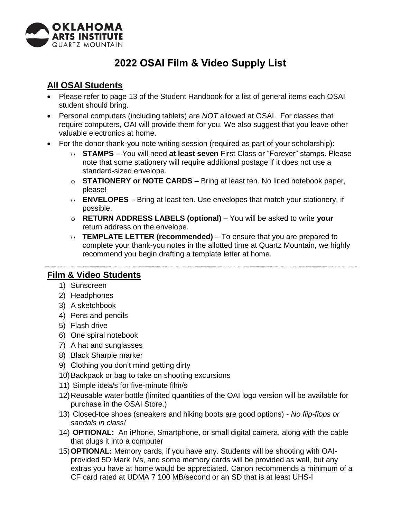

## **2022 OSAI Film & Video Supply List**

## **All OSAI Students**

- Please refer to page 13 of the Student Handbook for a list of general items each OSAI student should bring.
- Personal computers (including tablets) are *NOT* allowed at OSAI. For classes that require computers, OAI will provide them for you. We also suggest that you leave other valuable electronics at home.
- For the donor thank-you note writing session (required as part of your scholarship):
	- o **STAMPS**  You will need **at least seven** First Class or "Forever" stamps. Please note that some stationery will require additional postage if it does not use a standard-sized envelope.
	- o **STATIONERY or NOTE CARDS**  Bring at least ten. No lined notebook paper, please!
	- o **ENVELOPES**  Bring at least ten. Use envelopes that match your stationery, if possible.
	- o **RETURN ADDRESS LABELS (optional)**  You will be asked to write **your**  return address on the envelope.
	- o **TEMPLATE LETTER (recommended)**  To ensure that you are prepared to complete your thank-you notes in the allotted time at Quartz Mountain, we highly recommend you begin drafting a template letter at home.

## **Film & Video Students**

- 1) Sunscreen
- 2) Headphones
- 3) A sketchbook
- 4) Pens and pencils
- 5) Flash drive
- 6) One spiral notebook
- 7) A hat and sunglasses
- 8) Black Sharpie marker
- 9) Clothing you don't mind getting dirty
- 10)Backpack or bag to take on shooting excursions
- 11) Simple idea/s for five-minute film/s
- 12)Reusable water bottle (limited quantities of the OAI logo version will be available for purchase in the OSAI Store.)
- 13) Closed-toe shoes (sneakers and hiking boots are good options) *No flip-flops or sandals in class!*
- 14) **OPTIONAL:** An iPhone, Smartphone, or small digital camera, along with the cable that plugs it into a computer
- 15)**OPTIONAL:** Memory cards, if you have any. Students will be shooting with OAIprovided 5D Mark IVs, and some memory cards will be provided as well, but any extras you have at home would be appreciated. Canon recommends a minimum of a CF card rated at UDMA 7 100 MB/second or an SD that is at least UHS-I